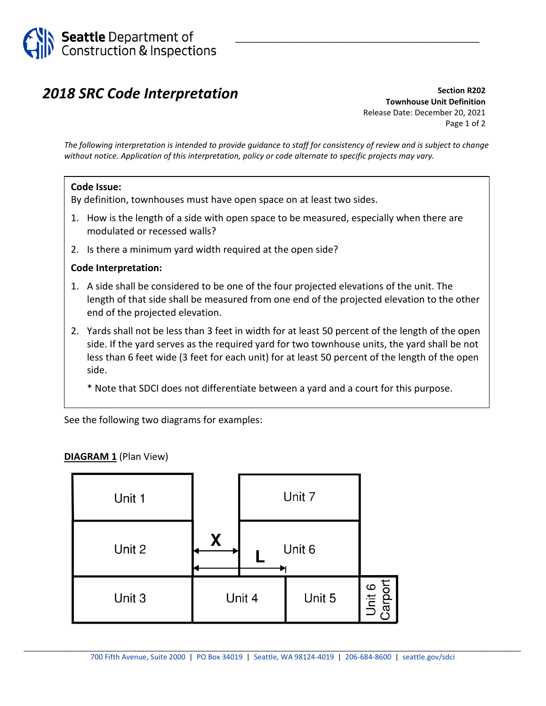

## *2018 SRC Code Interpretation*

**Section R202 Townhouse Unit Definition** Release Date: December 20, 2021 Page 1 of 2

\_\_\_\_\_\_\_\_\_\_\_\_\_\_\_\_\_\_\_\_\_\_\_\_\_\_\_\_\_\_\_\_\_\_\_\_\_\_\_\_\_\_\_\_\_\_\_\_\_\_

*The following interpretation is intended to provide guidance to staff for consistency of review and is subject to change without notice. Application of this interpretation, policy or code alternate to specific projects may vary.*

## **Code Issue:**

By definition, townhouses must have open space on at least two sides.

- 1. How is the length of a side with open space to be measured, especially when there are modulated or recessed walls?
- 2. Is there a minimum yard width required at the open side?

## **Code Interpretation:**

- 1. A side shall be considered to be one of the four projected elevations of the unit. The length of that side shall be measured from one end of the projected elevation to the other end of the projected elevation.
- 2. Yards shall not be less than 3 feet in width for at least 50 percent of the length of the open side. If the yard serves as the required yard for two townhouse units, the yard shall be not less than 6 feet wide (3 feet for each unit) for at least 50 percent of the length of the open side.

\* Note that SDCI does not differentiate between a yard and a court for this purpose.

See the following two diagrams for examples:

## **DIAGRAM 1** (Plan View)